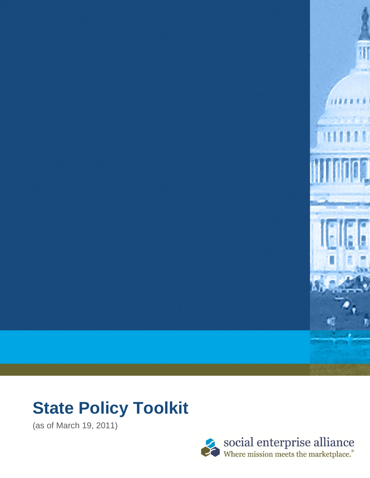

# **State Policy Toolkit**

(as of March 19, 2011)

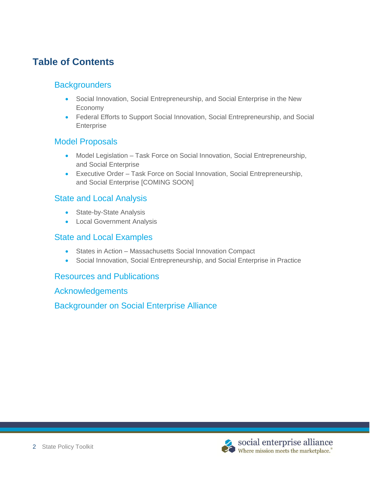# **Table of Contents**

### **Backgrounders**

- Social Innovation, Social Entrepreneurship, and Social Enterprise in the New Economy
- Federal Efforts to Support Social Innovation, Social Entrepreneurship, and Social Enterprise

### Model Proposals

- Model Legislation Task Force on Social Innovation, Social Entrepreneurship, and Social Enterprise
- Executive Order Task Force on Social Innovation, Social Entrepreneurship, and Social Enterprise [COMING SOON]

### State and Local Analysis

- State-by-State Analysis
- **•** Local Government Analysis

### State and Local Examples

- States in Action Massachusetts Social Innovation Compact
- Social Innovation, Social Entrepreneurship, and Social Enterprise in Practice

### Resources and Publications

Acknowledgements

Backgrounder on Social Enterprise Alliance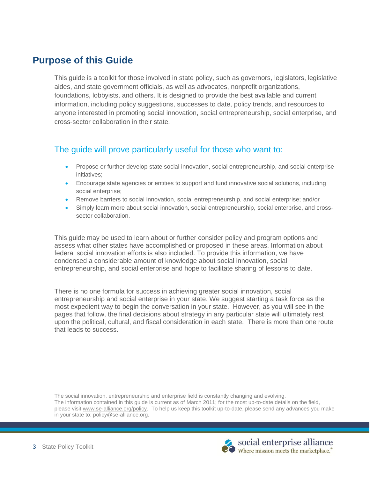# **Purpose of this Guide**

This guide is a toolkit for those involved in state policy, such as governors, legislators, legislative aides, and state government officials, as well as advocates, nonprofit organizations, foundations, lobbyists, and others. It is designed to provide the best available and current information, including policy suggestions, successes to date, policy trends, and resources to anyone interested in promoting social innovation, social entrepreneurship, social enterprise, and cross-sector collaboration in their state.

### The guide will prove particularly useful for those who want to:

- Propose or further develop state social innovation, social entrepreneurship, and social enterprise initiatives;
- Encourage state agencies or entities to support and fund innovative social solutions, including social enterprise;
- Remove barriers to social innovation, social entrepreneurship, and social enterprise; and/or
- Simply learn more about social innovation, social entrepreneurship, social enterprise, and crosssector collaboration.

This guide may be used to learn about or further consider policy and program options and assess what other states have accomplished or proposed in these areas. Information about federal social innovation efforts is also included. To provide this information, we have condensed a considerable amount of knowledge about social innovation, social entrepreneurship, and social enterprise and hope to facilitate sharing of lessons to date.

There is no one formula for success in achieving greater social innovation, social entrepreneurship and social enterprise in your state. We suggest starting a task force as the most expedient way to begin the conversation in your state. However, as you will see in the pages that follow, the final decisions about strategy in any particular state will ultimately rest upon the political, cultural, and fiscal consideration in each state. There is more than one route that leads to success.

The social innovation, entrepreneurship and enterprise field is constantly changing and evolving. The information contained in this guide is current as of March 2011; for the most up-to-date details on the field, please visit [www.se-alliance.org/policy.](http://www.se-alliance.org/policy) To help us keep this toolkit up-to-date, please send any advances you make in your state to: policy@se-alliance.org.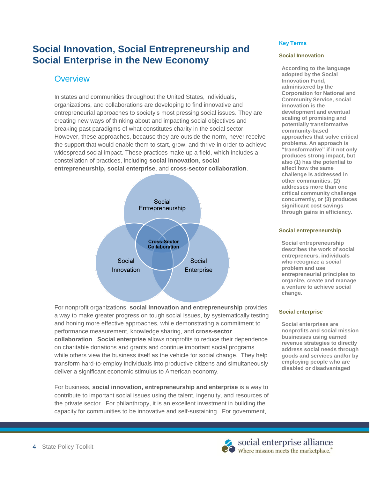# **Social Innovation, Social Entrepreneurship and Social Enterprise in the New Economy**

# **Overview**

In states and communities throughout the United States, individuals, organizations, and collaborations are developing to find innovative and entrepreneurial approaches to society's most pressing social issues. They are creating new ways of thinking about and impacting social objectives and breaking past paradigms of what constitutes charity in the social sector. However, these approaches, because they are outside the norm, never receive the support that would enable them to start, grow, and thrive in order to achieve widespread social impact. These practices make up a field, which includes a constellation of practices, including **social innovation**, **social entrepreneurship, social enterprise**, and **cross-sector collaboration**.



For nonprofit organizations, **social innovation and entrepreneurship** provides a way to make greater progress on tough social issues, by systematically testing and honing more effective approaches, while demonstrating a commitment to performance measurement, knowledge sharing, and **cross-sector collaboration**. **Social enterprise** allows nonprofits to reduce their dependence on charitable donations and grants and continue important social programs while others view the business itself as the vehicle for social change. They help transform hard-to-employ individuals into productive citizens and simultaneously deliver a significant economic stimulus to American economy.

For business, **social innovation, entrepreneurship and enterprise** is a way to contribute to important social issues using the talent, ingenuity, and resources of the private sector. For philanthropy, it is an excellent investment in building the capacity for communities to be innovative and self-sustaining. For government,

#### **Key Terms**

#### **Social Innovation**

**According to the language adopted by the Social Innovation Fund, administered by the Corporation for National and Community Service, social innovation is the development and eventual scaling of promising and potentially transformative community-based approaches that solve critical problems. An approach is "transformative" if it not only produces strong impact, but also (1) has the potential to affect how the same challenge is addressed in other communities, (2) addresses more than one critical community challenge concurrently, or (3) produces significant cost savings through gains in efficiency.**

#### **Social entrepreneurship**

**Social entrepreneurship describes the work of social entrepreneurs, individuals who recognize a social problem and use entrepreneurial principles to organize, create and manage a venture to achieve social change.**

#### **Social enterprise**

**Social enterprises are nonprofits and social mission businesses using earned revenue strategies to directly address social needs through goods and services and/or by employing people who are disabled or disadvantaged**

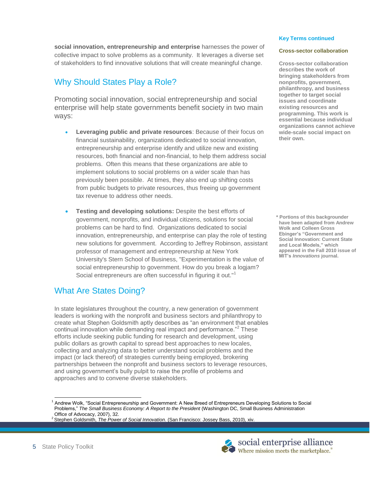$\overline{a}$ 

**social innovation, entrepreneurship and enterprise** harnesses the power of collective impact to solve problems as a community. It leverages a diverse set of stakeholders to find innovative solutions that will create meaningful change.

# Why Should States Play a Role?

Promoting social innovation, social entrepreneurship and social enterprise will help state governments benefit society in two main ways:

- **Leveraging public and private resources**: Because of their focus on financial sustainability, organizations dedicated to social innovation, entrepreneurship and enterprise identify and utilize new and existing resources, both financial and non-financial, to help them address social problems. Often this means that these organizations are able to implement solutions to social problems on a wider scale than has previously been possible. At times, they also end up shifting costs from public budgets to private resources, thus freeing up government tax revenue to address other needs.
- **Testing and developing solutions:** Despite the best efforts of government, nonprofits, and individual citizens, solutions for social problems can be hard to find. Organizations dedicated to social innovation, entrepreneurship, and enterprise can play the role of testing new solutions for government. According to Jeffrey Robinson, assistant professor of management and entrepreneurship at New York University's Stern School of Business, "Experimentation is the value of social entrepreneurship to government. How do you break a logjam? Social entrepreneurs are often successful in figuring it out."<sup>1</sup>

### What Are States Doing?

In state legislatures throughout the country, a new generation of government leaders is working with the nonprofit and business sectors and philanthropy to create what Stephen Goldsmith aptly describes as "an environment that enables continual innovation while demanding real impact and performance."<sup>2</sup> These efforts include seeking public funding for research and development, using public dollars as growth capital to spread best approaches to new locales, collecting and analyzing data to better understand social problems and the impact (or lack thereof) of strategies currently being employed, brokering partnerships between the nonprofit and business sectors to leverage resources, and using government's bully pulpit to raise the profile of problems and approaches and to convene diverse stakeholders.

#### **Key Terms continued**

#### **Cross-sector collaboration**

**Cross-sector collaboration describes the work of bringing stakeholders from nonprofits, government, philanthropy, and business together to target social issues and coordinate existing resources and programming. This work is essential because individual organizations cannot achieve wide-scale social impact on their own.** 

**\* Portions of this backgrounder have been adapted from Andrew Wolk and Colleen Gross Ebinger's "Government and Social Innovation: Current State and Local Models," which appeared in the Fall 2010 issue of MIT's** *Innovations* **journal.**



<sup>&</sup>lt;sup>1</sup> Andrew Wolk, "Social Entrepreneurship and Government: A New Breed of Entrepreneurs Developing Solutions to Social Problems,‖ *The Small Business Economy: A Report to the President* (Washington DC, Small Business Administration Office of Advocacy, 2007), 32.

<sup>2</sup>Stephen Goldsmith, *The Power of Social Innovation*. (San Francisco: Jossey Bass, 2010), xiv.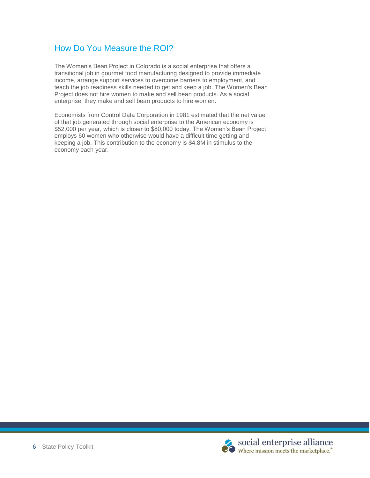### How Do You Measure the ROI?

The Women's Bean Project in Colorado is a social enterprise that offers a transitional job in gourmet food manufacturing designed to provide immediate income, arrange support services to overcome barriers to employment, and teach the job readiness skills needed to get and keep a job. The Women's Bean Project does not hire women to make and sell bean products. As a social enterprise, they make and sell bean products to hire women.

Economists from Control Data Corporation in 1981 estimated that the net value of that job generated through social enterprise to the American economy is \$52,000 per year, which is closer to \$80,000 today. The Women's Bean Project employs 60 women who otherwise would have a difficult time getting and keeping a job. This contribution to the economy is \$4.8M in stimulus to the economy each year.

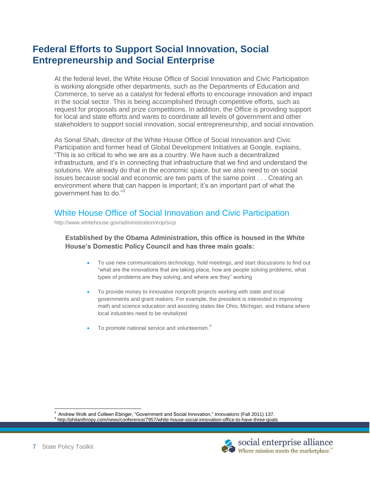# **Federal Efforts to Support Social Innovation, Social Entrepreneurship and Social Enterprise**

At the federal level, the White House Office of Social Innovation and Civic Participation is working alongside other departments, such as the Departments of Education and Commerce, to serve as a catalyst for federal efforts to encourage innovation and impact in the social sector. This is being accomplished through competitive efforts, such as request for proposals and prize competitions. In addition, the Office is providing support for local and state efforts and wants to coordinate all levels of government and other stakeholders to support social innovation, social entrepreneurship, and social innovation.

As Sonal Shah, director of the White House Office of Social Innovation and Civic Participation and former head of Global Development Initiatives at Google, explains, ―This is so critical to who we are as a country. We have such a decentralized infrastructure, and it's in connecting that infrastructure that we find and understand the solutions. We already do that in the economic space, but we also need to on social issues because social and economic are two parts of the same point . . . Creating an environment where that can happen is important; it's an important part of what the government has to do."<sup>3</sup>

### White House Office of Social Innovation and Civic Participation

http://www.whitehouse.gov/administration/eop/sicp

#### **Established by the Obama Administration, this office is housed in the White House's Domestic Policy Council and has three main goals:**

- To use new communications technology, hold meetings, and start discussions to find out "what are the innovations that are taking place, how are people solving problems, what types of problems are they solving, and where are they" working
- To provide money to innovative nonprofit projects working with state and local governments and grant makers. For example, the president is interested in improving math and science education and assisting states like Ohio, Michigan, and Indiana where local industries need to be revitalized
- To promote national service and volunteerism.<sup>4</sup>

 $\overline{a}$ 

<sup>&</sup>lt;sup>3</sup> Andrew Wolk and Colleen Ebinger, "Government and Social Innovation," *Innovations* (Fall 2011) 137. 4 http://philanthropy.com/news/conference/7957/white-house-social-innovation-office-to-have-three-goals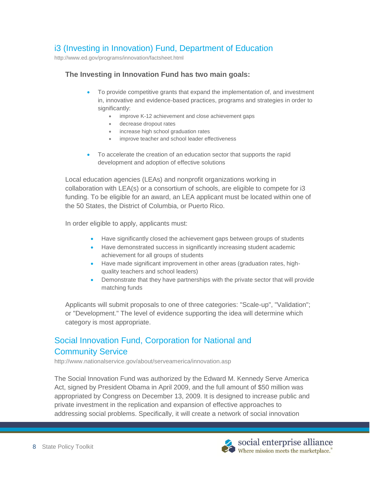### i3 (Investing in Innovation) Fund, Department of Education

http://www.ed.gov/programs/innovation/factsheet.html

#### **The Investing in Innovation Fund has two main goals:**

- To provide competitive grants that expand the implementation of, and investment in, innovative and evidence-based practices, programs and strategies in order to significantly:
	- improve K-12 achievement and close achievement gaps
	- decrease dropout rates
	- increase high school graduation rates
	- improve teacher and school leader effectiveness
- To accelerate the creation of an education sector that supports the rapid development and adoption of effective solutions

Local education agencies (LEAs) and nonprofit organizations working in collaboration with LEA(s) or a consortium of schools, are eligible to compete for i3 funding. To be eligible for an award, an LEA applicant must be located within one of the 50 States, the District of Columbia, or Puerto Rico.

In order eligible to apply, applicants must:

- Have significantly closed the achievement gaps between groups of students
- Have demonstrated success in significantly increasing student academic achievement for all groups of students
- Have made significant improvement in other areas (graduation rates, highquality teachers and school leaders)
- Demonstrate that they have partnerships with the private sector that will provide matching funds

Applicants will submit proposals to one of three categories: "Scale-up", "Validation"; or "Development." The level of evidence supporting the idea will determine which category is most appropriate.

# Social Innovation Fund, Corporation for National and Community Service

http://www.nationalservice.gov/about/serveamerica/innovation.asp

The Social Innovation Fund was authorized by the Edward M. Kennedy Serve America Act, signed by President Obama in April 2009, and the full amount of \$50 million was appropriated by Congress on December 13, 2009. It is designed to increase public and private investment in the replication and expansion of effective approaches to addressing social problems. Specifically, it will create a network of social innovation

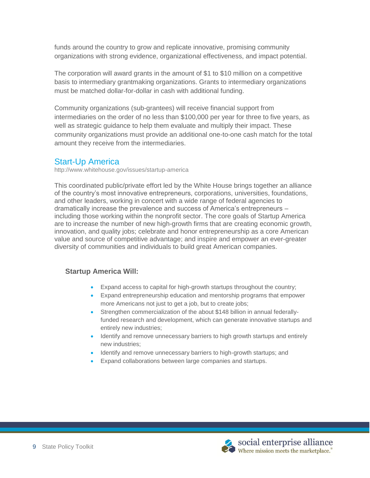funds around the country to grow and replicate innovative, promising community organizations with strong evidence, organizational effectiveness, and impact potential.

The corporation will award grants in the amount of \$1 to \$10 million on a competitive basis to intermediary grantmaking organizations. Grants to intermediary organizations must be matched dollar-for-dollar in cash with additional funding.

Community organizations (sub-grantees) will receive financial support from intermediaries on the order of no less than \$100,000 per year for three to five years, as well as strategic guidance to help them evaluate and multiply their impact. These community organizations must provide an additional one-to-one cash match for the total amount they receive from the intermediaries.

### Start-Up America

http://www.whitehouse.gov/issues/startup-america

This coordinated public/private effort led by the White House brings together an alliance of the country's most innovative entrepreneurs, corporations, universities, foundations, and other leaders, working in concert with a wide range of federal agencies to dramatically increase the prevalence and success of America's entrepreneurs – including those working within the nonprofit sector. The core goals of Startup America are to increase the number of new high-growth firms that are creating economic growth, innovation, and quality jobs; celebrate and honor entrepreneurship as a core American value and source of competitive advantage; and inspire and empower an ever-greater diversity of communities and individuals to build great American companies.

#### **Startup America Will:**

- Expand access to capital for high-growth startups throughout the country;
- Expand entrepreneurship education and mentorship programs that empower more Americans not just to get a job, but to create jobs;
- Strengthen commercialization of the about \$148 billion in annual federallyfunded research and development, which can generate innovative startups and entirely new industries;
- Identify and remove unnecessary barriers to high growth startups and entirely new industries;
- Identify and remove unnecessary barriers to high-growth startups; and
- Expand collaborations between large companies and startups.

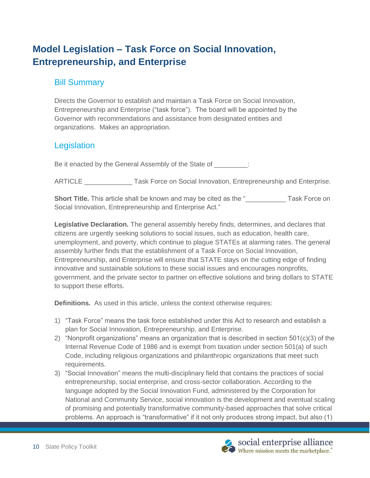# **Model Legislation – Task Force on Social Innovation, Entrepreneurship, and Enterprise**

### Bill Summary

Directs the Governor to establish and maintain a Task Force on Social Innovation, Entrepreneurship and Enterprise ("task force"). The board will be appointed by the Governor with recommendations and assistance from designated entities and organizations. Makes an appropriation.

# **Legislation**

Be it enacted by the General Assembly of the State of **Fig.** 

ARTICLE \_\_\_\_\_\_\_\_\_\_\_\_\_ Task Force on Social Innovation, Entrepreneurship and Enterprise.

**Short Title.** This article shall be known and may be cited as the " **We are Short Title.** This article shall be known and may be cited as the " **We are Short Title.** This article shall be known and may be cited as the " Social Innovation, Entrepreneurship and Enterprise Act."

**Legislative Declaration.** The general assembly hereby finds, determines, and declares that citizens are urgently seeking solutions to social issues, such as education, health care, unemployment, and poverty, which continue to plague STATEs at alarming rates. The general assembly further finds that the establishment of a Task Force on Social Innovation, Entrepreneurship, and Enterprise will ensure that STATE stays on the cutting edge of finding innovative and sustainable solutions to these social issues and encourages nonprofits, government, and the private sector to partner on effective solutions and bring dollars to STATE to support these efforts.

**Definitions.** As used in this article, unless the context otherwise requires:

- 1) "Task Force" means the task force established under this Act to research and establish a plan for Social Innovation, Entrepreneurship, and Enterprise.
- 2) "Nonprofit organizations" means an organization that is described in section  $501(c)(3)$  of the Internal Revenue Code of 1986 and is exempt from taxation under section 501(a) of such Code, including religious organizations and philanthropic organizations that meet such requirements.
- 3) "Social Innovation" means the multi-disciplinary field that contains the practices of social entrepreneurship, social enterprise, and cross-sector collaboration. According to the language adopted by the Social Innovation Fund, administered by the Corporation for National and Community Service, social innovation is the development and eventual scaling of promising and potentially transformative community-based approaches that solve critical problems. An approach is "transformative" if it not only produces strong impact, but also (1)

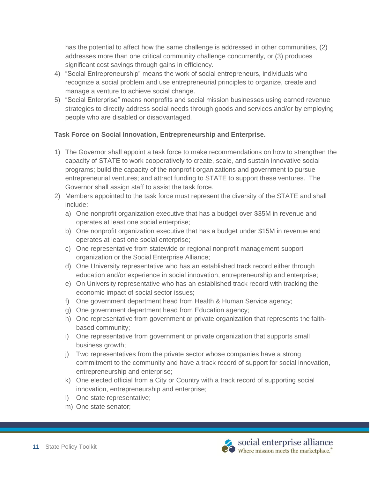has the potential to affect how the same challenge is addressed in other communities, (2) addresses more than one critical community challenge concurrently, or (3) produces significant cost savings through gains in efficiency.

- 4) "Social Entrepreneurship" means the work of social entrepreneurs, individuals who recognize a social problem and use entrepreneurial principles to organize, create and manage a venture to achieve social change.
- 5) "Social Enterprise" means nonprofits and social mission businesses using earned revenue strategies to directly address social needs through goods and services and/or by employing people who are disabled or disadvantaged.

#### **Task Force on Social Innovation, Entrepreneurship and Enterprise.**

- 1) The Governor shall appoint a task force to make recommendations on how to strengthen the capacity of STATE to work cooperatively to create, scale, and sustain innovative social programs; build the capacity of the nonprofit organizations and government to pursue entrepreneurial ventures; and attract funding to STATE to support these ventures. The Governor shall assign staff to assist the task force.
- 2) Members appointed to the task force must represent the diversity of the STATE and shall include:
	- a) One nonprofit organization executive that has a budget over \$35M in revenue and operates at least one social enterprise;
	- b) One nonprofit organization executive that has a budget under \$15M in revenue and operates at least one social enterprise;
	- c) One representative from statewide or regional nonprofit management support organization or the Social Enterprise Alliance;
	- d) One University representative who has an established track record either through education and/or experience in social innovation, entrepreneurship and enterprise;
	- e) On University representative who has an established track record with tracking the economic impact of social sector issues;
	- f) One government department head from Health & Human Service agency;
	- g) One government department head from Education agency;
	- h) One representative from government or private organization that represents the faithbased community;
	- i) One representative from government or private organization that supports small business growth;
	- j) Two representatives from the private sector whose companies have a strong commitment to the community and have a track record of support for social innovation, entrepreneurship and enterprise;
	- k) One elected official from a City or Country with a track record of supporting social innovation, entrepreneurship and enterprise;
	- l) One state representative;
	- m) One state senator;

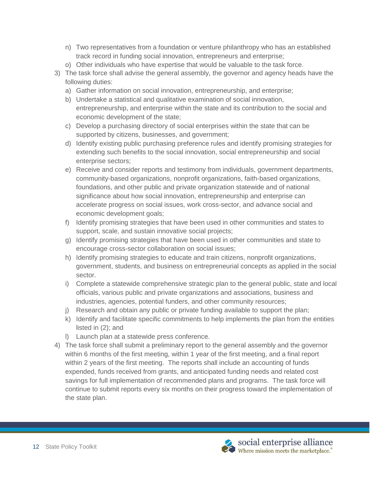- n) Two representatives from a foundation or venture philanthropy who has an established track record in funding social innovation, entrepreneurs and enterprise;
- o) Other individuals who have expertise that would be valuable to the task force.
- 3) The task force shall advise the general assembly, the governor and agency heads have the following duties:
	- a) Gather information on social innovation, entrepreneurship, and enterprise;
	- b) Undertake a statistical and qualitative examination of social innovation, entrepreneurship, and enterprise within the state and its contribution to the social and economic development of the state;
	- c) Develop a purchasing directory of social enterprises within the state that can be supported by citizens, businesses, and government;
	- d) Identify existing public purchasing preference rules and identify promising strategies for extending such benefits to the social innovation, social entrepreneurship and social enterprise sectors;
	- e) Receive and consider reports and testimony from individuals, government departments, community-based organizations, nonprofit organizations, faith-based organizations, foundations, and other public and private organization statewide and of national significance about how social innovation, entrepreneurship and enterprise can accelerate progress on social issues, work cross-sector, and advance social and economic development goals;
	- f) Identify promising strategies that have been used in other communities and states to support, scale, and sustain innovative social projects;
	- g) Identify promising strategies that have been used in other communities and state to encourage cross-sector collaboration on social issues;
	- h) Identify promising strategies to educate and train citizens, nonprofit organizations, government, students, and business on entrepreneurial concepts as applied in the social sector.
	- i) Complete a statewide comprehensive strategic plan to the general public, state and local officials, various public and private organizations and associations, business and industries, agencies, potential funders, and other community resources;
	- j) Research and obtain any public or private funding available to support the plan;
	- k) Identify and facilitate specific commitments to help implements the plan from the entities listed in (2); and
	- l) Launch plan at a statewide press conference.
- 4) The task force shall submit a preliminary report to the general assembly and the governor within 6 months of the first meeting, within 1 year of the first meeting, and a final report within 2 years of the first meeting. The reports shall include an accounting of funds expended, funds received from grants, and anticipated funding needs and related cost savings for full implementation of recommended plans and programs. The task force will continue to submit reports every six months on their progress toward the implementation of the state plan.

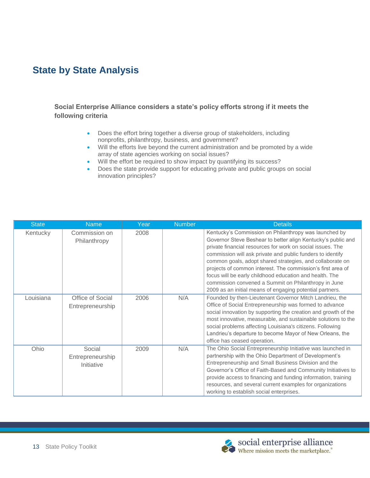# **State by State Analysis**

**Social Enterprise Alliance considers a state's policy efforts strong if it meets the following criteria**

- Does the effort bring together a diverse group of stakeholders, including nonprofits, philanthropy, business, and government?
- Will the efforts live beyond the current administration and be promoted by a wide array of state agencies working on social issues?
- Will the effort be required to show impact by quantifying its success?
- Does the state provide support for educating private and public groups on social innovation principles?

| <b>State</b> | <b>Name</b>                              | Year | <b>Number</b> | <b>Details</b>                                                                                                                                                                                                                                                                                                                                                                                                                                                                                                                                               |
|--------------|------------------------------------------|------|---------------|--------------------------------------------------------------------------------------------------------------------------------------------------------------------------------------------------------------------------------------------------------------------------------------------------------------------------------------------------------------------------------------------------------------------------------------------------------------------------------------------------------------------------------------------------------------|
| Kentucky     | Commission on<br>Philanthropy            | 2008 |               | Kentucky's Commission on Philanthropy was launched by<br>Governor Steve Beshear to better align Kentucky's public and<br>private financial resources for work on social issues. The<br>commission will ask private and public funders to identify<br>common goals, adopt shared strategies, and collaborate on<br>projects of common interest. The commission's first area of<br>focus will be early childhood education and health. The<br>commission convened a Summit on Philanthropy in June<br>2009 as an initial means of engaging potential partners. |
| Louisiana    | Office of Social<br>Entrepreneurship     | 2006 | N/A           | Founded by then-Lieutenant Governor Mitch Landrieu, the<br>Office of Social Entrepreneurship was formed to advance<br>social innovation by supporting the creation and growth of the<br>most innovative, measurable, and sustainable solutions to the<br>social problems affecting Louisiana's citizens. Following<br>Landrieu's departure to become Mayor of New Orleans, the<br>office has ceased operation.                                                                                                                                               |
| Ohio         | Social<br>Entrepreneurship<br>Initiative | 2009 | N/A           | The Ohio Social Entrepreneurship Initiative was launched in<br>partnership with the Ohio Department of Development's<br>Entrepreneurship and Small Business Division and the<br>Governor's Office of Faith-Based and Community Initiatives to<br>provide access to financing and funding information, training<br>resources, and several current examples for organizations<br>working to establish social enterprises.                                                                                                                                      |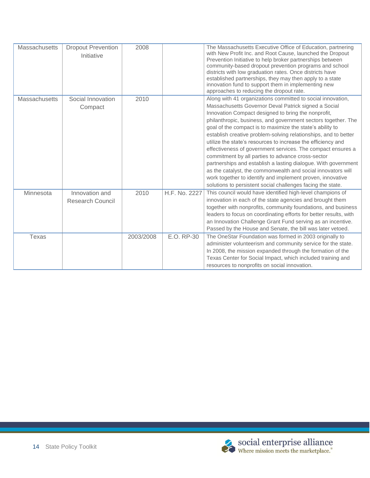| <b>Massachusetts</b> | <b>Dropout Prevention</b><br>Initiative   | 2008      |               | The Massachusetts Executive Office of Education, partnering<br>with New Profit Inc. and Root Cause, launched the Dropout<br>Prevention Initiative to help broker partnerships between<br>community-based dropout prevention programs and school<br>districts with low graduation rates. Once districts have<br>established partnerships, they may then apply to a state<br>innovation fund to support them in implementing new<br>approaches to reducing the dropout rate.                                                                                                                                                                                                                                                                                                                                                     |
|----------------------|-------------------------------------------|-----------|---------------|--------------------------------------------------------------------------------------------------------------------------------------------------------------------------------------------------------------------------------------------------------------------------------------------------------------------------------------------------------------------------------------------------------------------------------------------------------------------------------------------------------------------------------------------------------------------------------------------------------------------------------------------------------------------------------------------------------------------------------------------------------------------------------------------------------------------------------|
| <b>Massachusetts</b> | Social Innovation<br>Compact              | 2010      |               | Along with 41 organizations committed to social innovation,<br>Massachusetts Governor Deval Patrick signed a Social<br>Innovation Compact designed to bring the nonprofit,<br>philanthropic, business, and government sectors together. The<br>goal of the compact is to maximize the state's ability to<br>establish creative problem-solving relationships, and to better<br>utilize the state's resources to increase the efficiency and<br>effectiveness of government services. The compact ensures a<br>commitment by all parties to advance cross-sector<br>partnerships and establish a lasting dialogue. With government<br>as the catalyst, the commonwealth and social innovators will<br>work together to identify and implement proven, innovative<br>solutions to persistent social challenges facing the state. |
| Minnesota            | Innovation and<br><b>Research Council</b> | 2010      | H.F. No. 2227 | This council would have identified high-level champions of<br>innovation in each of the state agencies and brought them<br>together with nonprofits, community foundations, and business<br>leaders to focus on coordinating efforts for better results, with<br>an Innovation Challenge Grant Fund serving as an incentive.<br>Passed by the House and Senate, the bill was later vetoed.                                                                                                                                                                                                                                                                                                                                                                                                                                     |
| Texas                |                                           | 2003/2008 | E.O. RP-30    | The OneStar Foundation was formed in 2003 originally to<br>administer volunteerism and community service for the state.<br>In 2008, the mission expanded through the formation of the<br>Texas Center for Social Impact, which included training and<br>resources to nonprofits on social innovation.                                                                                                                                                                                                                                                                                                                                                                                                                                                                                                                          |

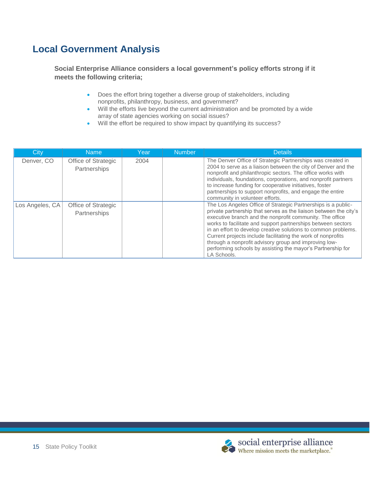# **Local Government Analysis**

**Social Enterprise Alliance considers a local government's policy efforts strong if it meets the following criteria;**

- Does the effort bring together a diverse group of stakeholders, including nonprofits, philanthropy, business, and government?
- Will the efforts live beyond the current administration and be promoted by a wide array of state agencies working on social issues?
- Will the effort be required to show impact by quantifying its success?

| City            | <b>Name</b>                         | Year | <b>Number</b> | <b>Details</b>                                                                                                                                                                                                                                                                                                                                                                                                                                                                                                                          |
|-----------------|-------------------------------------|------|---------------|-----------------------------------------------------------------------------------------------------------------------------------------------------------------------------------------------------------------------------------------------------------------------------------------------------------------------------------------------------------------------------------------------------------------------------------------------------------------------------------------------------------------------------------------|
| Denver, CO      | Office of Strategic<br>Partnerships | 2004 |               | The Denver Office of Strategic Partnerships was created in<br>2004 to serve as a liaison between the city of Denver and the<br>nonprofit and philanthropic sectors. The office works with<br>individuals, foundations, corporations, and nonprofit partners<br>to increase funding for cooperative initiatives, foster<br>partnerships to support nonprofits, and engage the entire<br>community in volunteer efforts.                                                                                                                  |
| Los Angeles, CA | Office of Strategic<br>Partnerships |      |               | The Los Angeles Office of Strategic Partnerships is a public-<br>private partnership that serves as the liaison between the city's<br>executive branch and the nonprofit community. The office<br>works to facilitate and support partnerships between sectors<br>in an effort to develop creative solutions to common problems.<br>Current projects include facilitating the work of nonprofits<br>through a nonprofit advisory group and improving low-<br>performing schools by assisting the mayor's Partnership for<br>LA Schools. |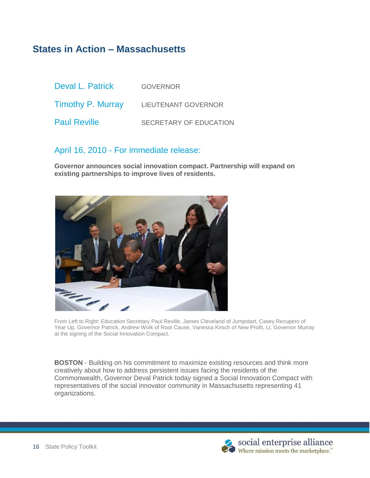# **States in Action – Massachusetts**

| Deval L. Patrick         | <b>GOVERNOR</b>            |
|--------------------------|----------------------------|
| <b>Timothy P. Murray</b> | <b>LIEUTENANT GOVERNOR</b> |
| <b>Paul Reville</b>      | SECRETARY OF EDUCATION     |

### April 16, 2010 - For immediate release:

**Governor announces social innovation compact. Partnership will expand on existing partnerships to improve lives of residents.**



From Left to Right: Education Secretary Paul Reville, James Cleveland of Jumpstart, Casey Recupero of Year Up, Governor Patrick, Andrew Wolk of Root Cause, Vanessa Kirsch of New Profit, Lt. Governor Murray at the signing of the Social Innovation Compact.

**BOSTON** - Building on his commitment to maximize existing resources and think more creatively about how to address persistent issues facing the residents of the Commonwealth, Governor Deval Patrick today signed a Social Innovation Compact with representatives of the social innovator community in Massachusetts representing 41 organizations.

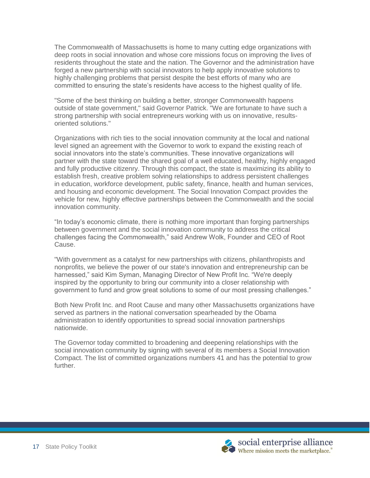The Commonwealth of Massachusetts is home to many cutting edge organizations with deep roots in social innovation and whose core missions focus on improving the lives of residents throughout the state and the nation. The Governor and the administration have forged a new partnership with social innovators to help apply innovative solutions to highly challenging problems that persist despite the best efforts of many who are committed to ensuring the state's residents have access to the highest quality of life.

"Some of the best thinking on building a better, stronger Commonwealth happens outside of state government," said Governor Patrick. "We are fortunate to have such a strong partnership with social entrepreneurs working with us on innovative, resultsoriented solutions."

Organizations with rich ties to the social innovation community at the local and national level signed an agreement with the Governor to work to expand the existing reach of social innovators into the state's communities. These innovative organizations will partner with the state toward the shared goal of a well educated, healthy, highly engaged and fully productive citizenry. Through this compact, the state is maximizing its ability to establish fresh, creative problem solving relationships to address persistent challenges in education, workforce development, public safety, finance, health and human services, and housing and economic development. The Social Innovation Compact provides the vehicle for new, highly effective partnerships between the Commonwealth and the social innovation community.

"In today's economic climate, there is nothing more important than forging partnerships between government and the social innovation community to address the critical challenges facing the Commonwealth," said Andrew Wolk, Founder and CEO of Root Cause.

"With government as a catalyst for new partnerships with citizens, philanthropists and nonprofits, we believe the power of our state's innovation and entrepreneurship can be harnessed," said Kim Syman, Managing Director of New Profit Inc. "We're deeply inspired by the opportunity to bring our community into a closer relationship with government to fund and grow great solutions to some of our most pressing challenges."

Both New Profit Inc. and Root Cause and many other Massachusetts organizations have served as partners in the national conversation spearheaded by the Obama administration to identify opportunities to spread social innovation partnerships nationwide.

The Governor today committed to broadening and deepening relationships with the social innovation community by signing with several of its members a Social Innovation Compact. The list of committed organizations numbers 41 and has the potential to grow further.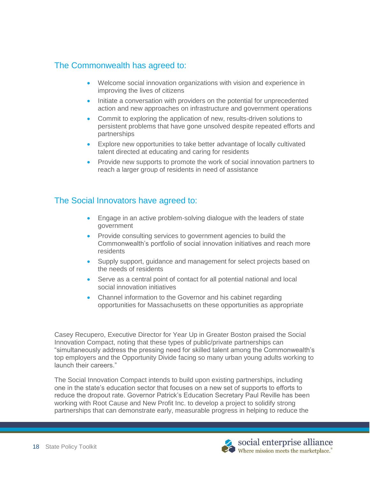### The Commonwealth has agreed to:

- Welcome social innovation organizations with vision and experience in improving the lives of citizens
- Initiate a conversation with providers on the potential for unprecedented action and new approaches on infrastructure and government operations
- Commit to exploring the application of new, results-driven solutions to persistent problems that have gone unsolved despite repeated efforts and partnerships
- Explore new opportunities to take better advantage of locally cultivated talent directed at educating and caring for residents
- Provide new supports to promote the work of social innovation partners to reach a larger group of residents in need of assistance

### The Social Innovators have agreed to:

- Engage in an active problem-solving dialogue with the leaders of state government
- Provide consulting services to government agencies to build the Commonwealth's portfolio of social innovation initiatives and reach more residents
- Supply support, guidance and management for select projects based on the needs of residents
- Serve as a central point of contact for all potential national and local social innovation initiatives
- Channel information to the Governor and his cabinet regarding opportunities for Massachusetts on these opportunities as appropriate

Casey Recupero, Executive Director for Year Up in Greater Boston praised the Social Innovation Compact, noting that these types of public/private partnerships can ―simultaneously address the pressing need for skilled talent among the Commonwealth's top employers and the Opportunity Divide facing so many urban young adults working to launch their careers."

The Social Innovation Compact intends to build upon existing partnerships, including one in the state's education sector that focuses on a new set of supports to efforts to reduce the dropout rate. Governor Patrick's Education Secretary Paul Reville has been working with Root Cause and New Profit Inc. to develop a project to solidify strong partnerships that can demonstrate early, measurable progress in helping to reduce the

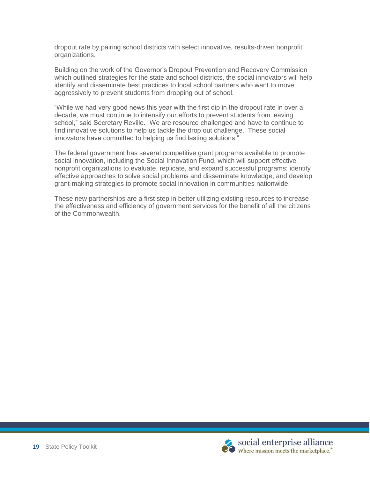dropout rate by pairing school districts with select innovative, results-driven nonprofit organizations.

Building on the work of the Governor's Dropout Prevention and Recovery Commission which outlined strategies for the state and school districts, the social innovators will help identify and disseminate best practices to local school partners who want to move aggressively to prevent students from dropping out of school.

―While we had very good news this year with the first dip in the dropout rate in over a decade, we must continue to intensify our efforts to prevent students from leaving school," said Secretary Reville. "We are resource challenged and have to continue to find innovative solutions to help us tackle the drop out challenge. These social innovators have committed to helping us find lasting solutions."

The federal government has several competitive grant programs available to promote social innovation, including the Social Innovation Fund, which will support effective nonprofit organizations to evaluate, replicate, and expand successful programs; identify effective approaches to solve social problems and disseminate knowledge; and develop grant-making strategies to promote social innovation in communities nationwide.

These new partnerships are a first step in better utilizing existing resources to increase the effectiveness and efficiency of government services for the benefit of all the citizens of the Commonwealth.

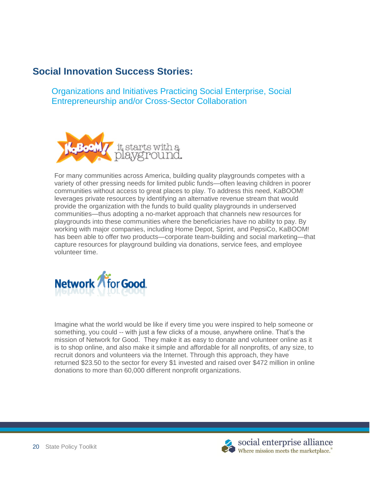# **Social Innovation Success Stories:**

Organizations and Initiatives Practicing Social Enterprise, Social Entrepreneurship and/or Cross-Sector Collaboration



For many communities across America, building quality playgrounds competes with a variety of other pressing needs for limited public funds—often leaving children in poorer communities without access to great places to play. To address this need, KaBOOM! leverages private resources by identifying an alternative revenue stream that would provide the organization with the funds to build quality playgrounds in underserved communities—thus adopting a no-market approach that channels new resources for playgrounds into these communities where the beneficiaries have no ability to pay. By working with major companies, including Home Depot, Sprint, and PepsiCo, KaBOOM! has been able to offer two products—corporate team-building and social marketing—that capture resources for playground building via donations, service fees, and employee volunteer time.



Imagine what the world would be like if every time you were inspired to help someone or something, you could -- with just a few clicks of a mouse, anywhere online. That's the mission of Network for Good. They make it as easy to donate and volunteer online as it is to shop online, and also make it simple and affordable for all nonprofits, of any size, to recruit donors and volunteers via the Internet. Through this approach, they have returned \$23.50 to the sector for every \$1 invested and raised over \$472 million in online donations to more than 60,000 different nonprofit organizations.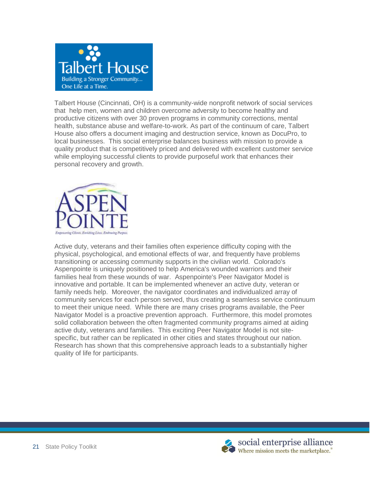

Talbert House (Cincinnati, OH) is a community-wide nonprofit network of social services that help men, women and children overcome adversity to become healthy and productive citizens with over 30 proven programs in community corrections, mental health, substance abuse and welfare-to-work. As part of the continuum of care, Talbert House also offers a document imaging and destruction service, known as DocuPro, to local businesses. This social enterprise balances business with mission to provide a quality product that is competitively priced and delivered with excellent customer service while employing successful clients to provide purposeful work that enhances their personal recovery and growth.



Active duty, veterans and their families often experience difficulty coping with the physical, psychological, and emotional effects of war, and frequently have problems transitioning or accessing community supports in the civilian world. Colorado's Aspenpointe is uniquely positioned to help America's wounded warriors and their families heal from these wounds of war. Aspenpointe's Peer Navigator Model is innovative and portable. It can be implemented whenever an active duty, veteran or family needs help. Moreover, the navigator coordinates and individualized array of community services for each person served, thus creating a seamless service continuum to meet their unique need. While there are many crises programs available, the Peer Navigator Model is a proactive prevention approach. Furthermore, this model promotes solid collaboration between the often fragmented community programs aimed at aiding active duty, veterans and families. This exciting Peer Navigator Model is not sitespecific, but rather can be replicated in other cities and states throughout our nation. Research has shown that this comprehensive approach leads to a substantially higher quality of life for participants.

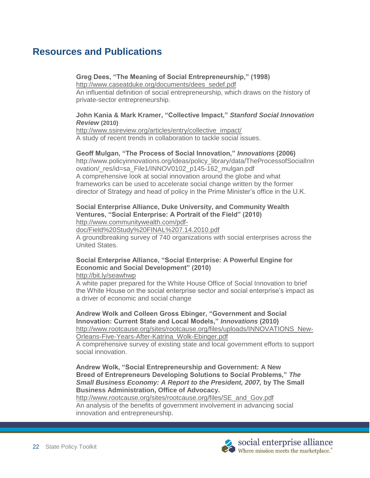# **Resources and Publications**

#### **Greg Dees, "The Meaning of Social Entrepreneurship," (1998)**

[http://www.caseatduke.org/documents/dees\\_sedef.pdf](http://www.caseatduke.org/documents/dees_sedef.pdf)

An influential definition of social entrepreneurship, which draws on the history of private-sector entrepreneurship.

#### **John Kania & Mark Kramer, "Collective Impact,"** *Stanford Social Innovation Review* **(2010)**

[http://www.ssireview.org/articles/entry/collective\\_impact/](http://www.ssireview.org/articles/entry/collective_impact/) A study of recent trends in collaboration to tackle social issues.

#### **Geoff Mulgan, "The Process of Social Innovation,"** *Innovations* **(2006)**

http://www.policyinnovations.org/ideas/policy\_library/data/TheProcessofSocialInn ovation/\_res/id=sa\_File1/INNOV0102\_p145-162\_mulgan.pdf A comprehensive look at social innovation around the globe and what frameworks can be used to accelerate social change written by the former director of Strategy and head of policy in the Prime Minister's office in the U.K.

#### **Social Enterprise Alliance, Duke University, and Community Wealth Ventures, "Social Enterprise: A Portrait of the Field" (2010)** [http://www.communitywealth.com/pdf-](http://www.communitywealth.com/pdf-doc/Field%20Study%20FINAL%207.14.2010.pdf)

[doc/Field%20Study%20FINAL%207.14.2010.pdf](http://www.communitywealth.com/pdf-doc/Field%20Study%20FINAL%207.14.2010.pdf)

A groundbreaking survey of 740 organizations with social enterprises across the United States.

### **Social Enterprise Alliance, "Social Enterprise: A Powerful Engine for Economic and Social Development" (2010)**

http://bit.ly/seawhwp

A white paper prepared for the White House Office of Social Innovation to brief the White House on the social enterprise sector and social enterprise's impact as a driver of economic and social change

**Andrew Wolk and Colleen Gross Ebinger, "Government and Social Innovation: Current State and Local Models,"** *Innovations* **(2010)** [http://www.rootcause.org/sites/rootcause.org/files/uploads/INNOVATIONS\\_New-](http://www.rootcause.org/sites/rootcause.org/files/uploads/INNOVATIONS_New-Orleans-Five-Years-After-Katrina_Wolk-Ebinger.pdf)[Orleans-Five-Years-After-Katrina\\_Wolk-Ebinger.pdf](http://www.rootcause.org/sites/rootcause.org/files/uploads/INNOVATIONS_New-Orleans-Five-Years-After-Katrina_Wolk-Ebinger.pdf)

A comprehensive survey of existing state and local government efforts to support social innovation.

**Andrew Wolk, "Social Entrepreneurship and Government: A New Breed of Entrepreneurs Developing Solutions to Social Problems,"** *The*  **Small Business Economy: A Report to the President, 2007, by The Small Business Administration, Office of Advocacy.**

[http://www.rootcause.org/sites/rootcause.org/files/SE\\_and\\_Gov.pdf](http://www.rootcause.org/sites/rootcause.org/files/SE_and_Gov.pdf)

An analysis of the benefits of government involvement in advancing social innovation and entrepreneurship.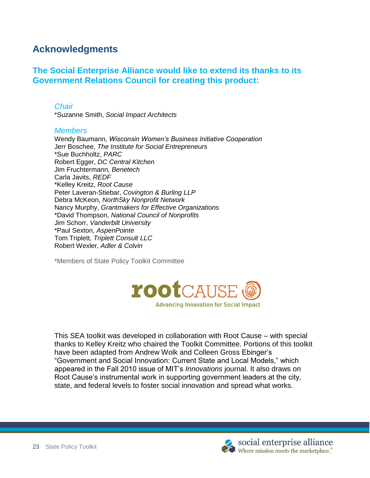# **Acknowledgments**

### **The Social Enterprise Alliance would like to extend its thanks to its Government Relations Council for creating this product:**

#### *Chair*

\*Suzanne Smith, *Social Impact Architects*

#### *Members*

Wendy Baumann, *Wisconsin Women's Business Initiative Cooperation* Jerr Boschee, *The Institute for Social Entrepreneurs* \*Sue Buchholtz, *PARC* Robert Egger, *DC Central Kitchen* Jim Fruchtermann, *Benetech* Carla Javits, *REDF* \*Kelley Kreitz, *Root Cause* Peter Laveran-Stiebar, *Covington & Burling LLP* Debra McKeon, *NorthSky Nonprofit Network* Nancy Murphy, *Grantmakers for Effective Organizations* \*David Thompson, *National Council of Nonprofits* Jim Schorr, *Vanderbilt University* \*Paul Sexton, *AspenPointe* Tom Triplett, *Triplett Consult LLC* Robert Wexler, *Adler & Colvin*

\*Members of State Policy Toolkit Committee



This SEA toolkit was developed in collaboration with Root Cause – with special thanks to Kelley Kreitz who chaired the Toolkit Committee. Portions of this toolkit have been adapted from Andrew Wolk and Colleen Gross Ebinger's "Government and Social Innovation: Current State and Local Models," which appeared in the Fall 2010 issue of MIT's *Innovations* journal. It also draws on Root Cause's instrumental work in supporting government leaders at the city, state, and federal levels to foster social innovation and spread what works.